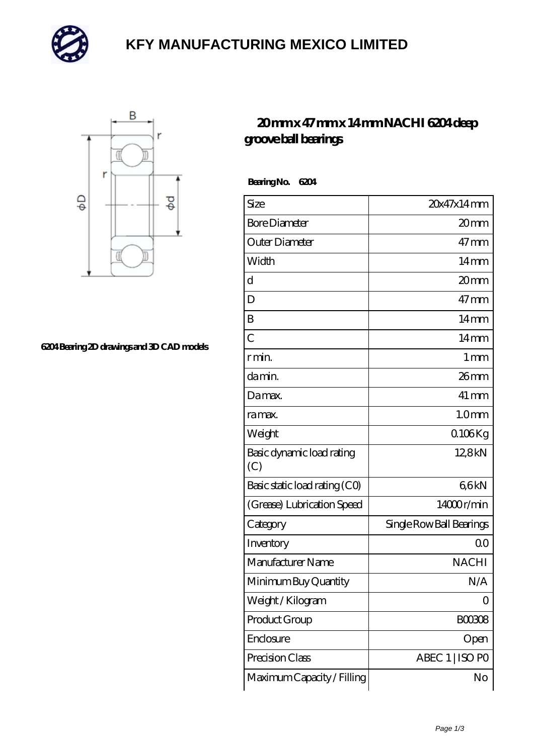

# **[KFY MANUFACTURING MEXICO LIMITED](https://m.mailemotion.tv)**



#### **[6204 Bearing 2D drawings and 3D CAD models](https://m.mailemotion.tv/pic-412499.html)**

### **[20 mm x 47 mm x 14 mm NACHI 6204 deep](https://m.mailemotion.tv/by-412499-nachi-6204-deep-groove-ball-bearings.html) [groove ball bearings](https://m.mailemotion.tv/by-412499-nachi-6204-deep-groove-ball-bearings.html)**

 **Bearing No. 6204**

| Size                             | 20x47x14mm               |
|----------------------------------|--------------------------|
| <b>Bore Diameter</b>             | 20mm                     |
| Outer Diameter                   | $47 \text{mm}$           |
| Width                            | $14 \text{mm}$           |
| d                                | 20 <sub>mm</sub>         |
| D                                | $47 \text{mm}$           |
| B                                | $14 \text{mm}$           |
| $\overline{C}$                   | $14 \text{mm}$           |
| r min.                           | $1 \,\mathrm{mm}$        |
| da min.                          | 26mm                     |
| Damax.                           | $41 \,\mathrm{mm}$       |
| ra max.                          | 1.0 <sub>mm</sub>        |
| Weight                           | $0.106$ Kg               |
| Basic dynamic load rating<br>(C) | 128kN                    |
| Basic static load rating (CO)    | 66kN                     |
| (Grease) Lubrication Speed       | 14000r/min               |
| Category                         | Single Row Ball Bearings |
| Inventory                        | Q0                       |
| Manufacturer Name                | <b>NACHI</b>             |
| Minimum Buy Quantity             | N/A                      |
| Weight / Kilogram                | O                        |
| Product Group                    | BOO3O8                   |
| Enclosure                        | Open                     |
| Precision Class                  | ABEC 1   ISO PO          |
| Maximum Capacity / Filling       | No                       |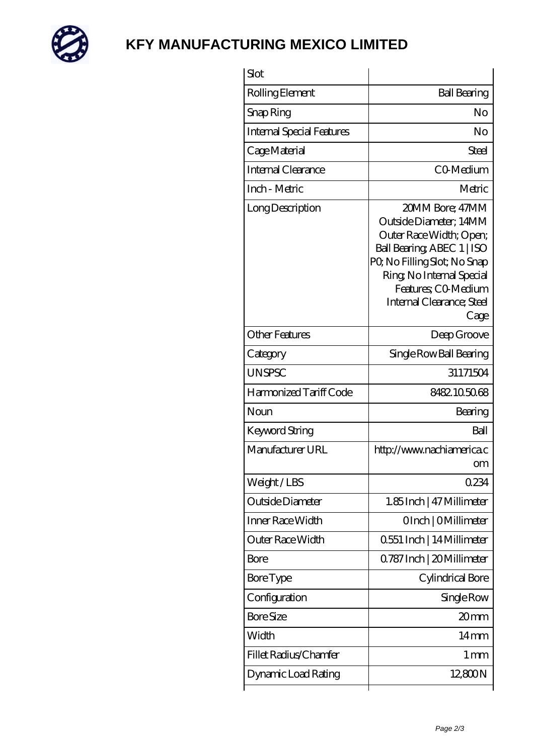

## **[KFY MANUFACTURING MEXICO LIMITED](https://m.mailemotion.tv)**

| Slot                             |                                                                                                                                                                                                                            |
|----------------------------------|----------------------------------------------------------------------------------------------------------------------------------------------------------------------------------------------------------------------------|
| Rolling Element                  | <b>Ball Bearing</b>                                                                                                                                                                                                        |
| Snap Ring                        | No                                                                                                                                                                                                                         |
| <b>Internal Special Features</b> | No                                                                                                                                                                                                                         |
| Cage Material                    | Steel                                                                                                                                                                                                                      |
| Internal Clearance               | CO-Medium                                                                                                                                                                                                                  |
| Inch - Metric                    | Metric                                                                                                                                                                                                                     |
| Long Description                 | 20MM Bore; 47MM<br>Outside Diameter; 14MM<br>Outer Race Width; Open;<br>Ball Bearing, ABEC 1   ISO<br>PQ No Filling Slot; No Snap<br>Ring, No Internal Special<br>Features; CO Medium<br>Internal Clearance; Steel<br>Cage |
| <b>Other Features</b>            | Deep Groove                                                                                                                                                                                                                |
| Category                         | Single Row Ball Bearing                                                                                                                                                                                                    |
| <b>UNSPSC</b>                    | 31171504                                                                                                                                                                                                                   |
| Harmonized Tariff Code           | 8482105068                                                                                                                                                                                                                 |
| Noun                             | Bearing                                                                                                                                                                                                                    |
| Keyword String                   | Ball                                                                                                                                                                                                                       |
| Manufacturer URL                 | http://www.nachiamerica.c<br>om                                                                                                                                                                                            |
| Weight/LBS                       | 0234                                                                                                                                                                                                                       |
| Outside Diameter                 | 1.85Inch   47 Millimeter                                                                                                                                                                                                   |
| Inner Race Width                 | OInch   OMillimeter                                                                                                                                                                                                        |
| Outer Race Width                 | 0.551 Inch   14 Millimeter                                                                                                                                                                                                 |
| Bore                             | Q787 Inch   20 Millimeter                                                                                                                                                                                                  |
| <b>Bore Type</b>                 | Cylindrical Bore                                                                                                                                                                                                           |
| Configuration                    | Single Row                                                                                                                                                                                                                 |
| <b>Bore Size</b>                 | 20mm                                                                                                                                                                                                                       |
| Width                            | 14 <sub>mm</sub>                                                                                                                                                                                                           |
| Fillet Radius/Chamfer            | $1 \,\mathrm{mm}$                                                                                                                                                                                                          |
| Dynamic Load Rating              | 12,800N                                                                                                                                                                                                                    |
|                                  |                                                                                                                                                                                                                            |